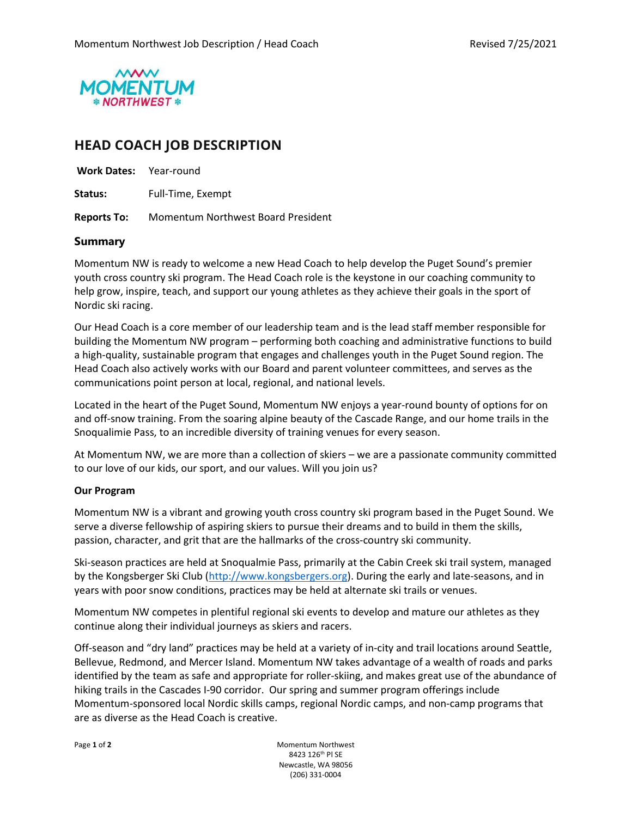

# HEAD COACH JOB DESCRIPTION

| <b>Work Dates:</b> Year-round |                                    |
|-------------------------------|------------------------------------|
| Status:                       | Full-Time, Exempt                  |
| <b>Reports To:</b>            | Momentum Northwest Board President |

#### Summary

Momentum NW is ready to welcome a new Head Coach to help develop the Puget Sound's premier youth cross country ski program. The Head Coach role is the keystone in our coaching community to help grow, inspire, teach, and support our young athletes as they achieve their goals in the sport of Nordic ski racing.

Our Head Coach is a core member of our leadership team and is the lead staff member responsible for building the Momentum NW program – performing both coaching and administrative functions to build a high-quality, sustainable program that engages and challenges youth in the Puget Sound region. The Head Coach also actively works with our Board and parent volunteer committees, and serves as the communications point person at local, regional, and national levels.

Located in the heart of the Puget Sound, Momentum NW enjoys a year-round bounty of options for on and off-snow training. From the soaring alpine beauty of the Cascade Range, and our home trails in the Snoqualimie Pass, to an incredible diversity of training venues for every season.

At Momentum NW, we are more than a collection of skiers – we are a passionate community committed to our love of our kids, our sport, and our values. Will you join us?

#### Our Program

Momentum NW is a vibrant and growing youth cross country ski program based in the Puget Sound. We serve a diverse fellowship of aspiring skiers to pursue their dreams and to build in them the skills, passion, character, and grit that are the hallmarks of the cross-country ski community.

Ski-season practices are held at Snoqualmie Pass, primarily at the Cabin Creek ski trail system, managed by the Kongsberger Ski Club (http://www.kongsbergers.org). During the early and late-seasons, and in years with poor snow conditions, practices may be held at alternate ski trails or venues.

Momentum NW competes in plentiful regional ski events to develop and mature our athletes as they continue along their individual journeys as skiers and racers.

Off-season and "dry land" practices may be held at a variety of in-city and trail locations around Seattle, Bellevue, Redmond, and Mercer Island. Momentum NW takes advantage of a wealth of roads and parks identified by the team as safe and appropriate for roller-skiing, and makes great use of the abundance of hiking trails in the Cascades I-90 corridor. Our spring and summer program offerings include Momentum-sponsored local Nordic skills camps, regional Nordic camps, and non-camp programs that are as diverse as the Head Coach is creative.